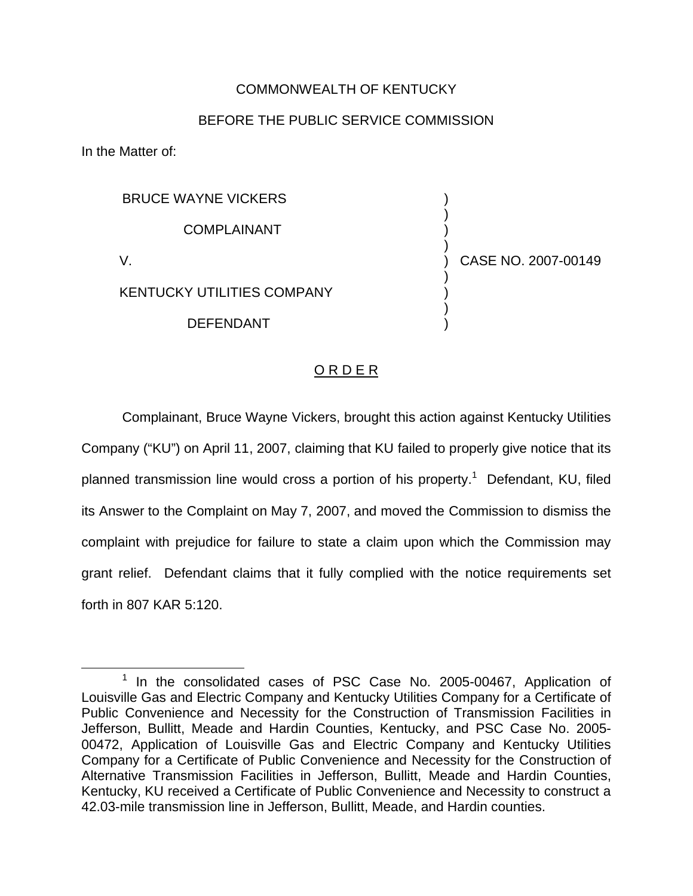## COMMONWEALTH OF KENTUCKY

## BEFORE THE PUBLIC SERVICE COMMISSION

In the Matter of:

| <b>BRUCE WAYNE VICKERS</b>        |                     |
|-----------------------------------|---------------------|
| <b>COMPLAINANT</b>                |                     |
|                                   | CASE NO. 2007-00149 |
| <b>KENTUCKY UTILITIES COMPANY</b> |                     |
| <b>DEFENDANT</b>                  |                     |
|                                   |                     |

## O R D E R

Complainant, Bruce Wayne Vickers, brought this action against Kentucky Utilities Company ("KU") on April 11, 2007, claiming that KU failed to properly give notice that its planned transmission line would cross a portion of his property.<sup>1</sup> Defendant, KU, filed its Answer to the Complaint on May 7, 2007, and moved the Commission to dismiss the complaint with prejudice for failure to state a claim upon which the Commission may grant relief. Defendant claims that it fully complied with the notice requirements set forth in 807 KAR 5:120.

<sup>&</sup>lt;sup>1</sup> In the consolidated cases of PSC Case No. 2005-00467, Application of Louisville Gas and Electric Company and Kentucky Utilities Company for a Certificate of Public Convenience and Necessity for the Construction of Transmission Facilities in Jefferson, Bullitt, Meade and Hardin Counties, Kentucky, and PSC Case No. 2005- 00472, Application of Louisville Gas and Electric Company and Kentucky Utilities Company for a Certificate of Public Convenience and Necessity for the Construction of Alternative Transmission Facilities in Jefferson, Bullitt, Meade and Hardin Counties, Kentucky, KU received a Certificate of Public Convenience and Necessity to construct a 42.03-mile transmission line in Jefferson, Bullitt, Meade, and Hardin counties.